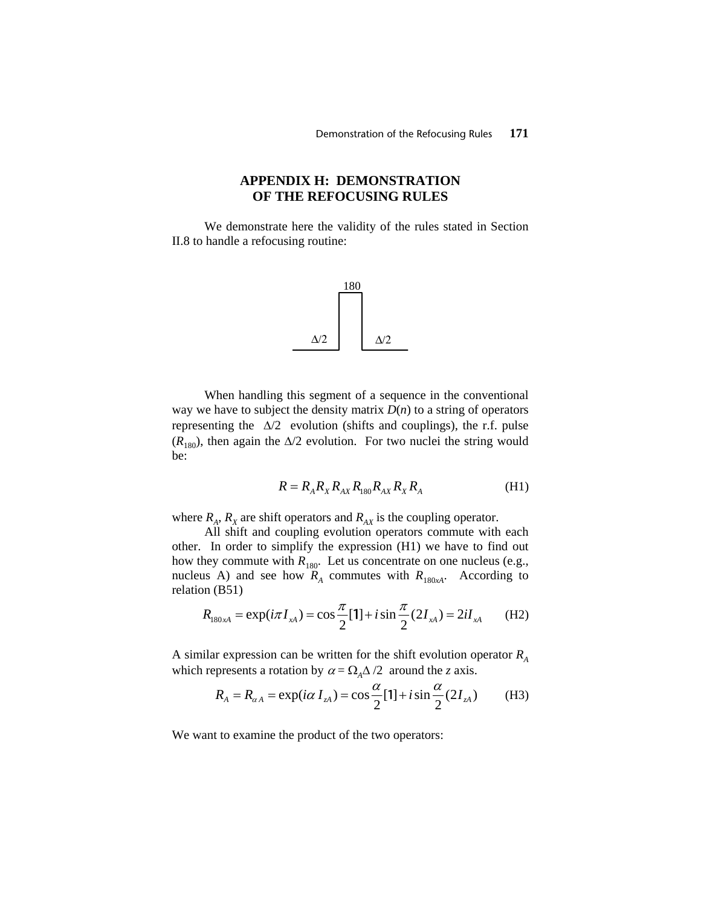## **APPENDIX H: DEMONSTRATION OF THE REFOCUSING RULES**

We demonstrate here the validity of the rules stated in Section II.8 to handle a refocusing routine:



When handling this segment of a sequence in the conventional way we have to subject the density matrix  $D(n)$  to a string of operators representing the  $\Delta/2$  evolution (shifts and couplings), the r.f. pulse  $(R<sub>180</sub>)$ , then again the ∆/2 evolution. For two nuclei the string would be:

$$
R = R_A R_X R_{AX} R_{180} R_{AX} R_X R_A
$$
 (H1)

where  $R_A$ ,  $R_X$  are shift operators and  $R_{AX}$  is the coupling operator.

All shift and coupling evolution operators commute with each other. In order to simplify the expression (H1) we have to find out how they commute with  $R_{180}$ . Let us concentrate on one nucleus (e.g., nucleus A) and see how  $R_{A}$  commutes with  $R_{180xA}$ . According to relation (B51)

$$
R_{180xA} = \exp(i\pi I_{xA}) = \cos\frac{\pi}{2}[1] + i\sin\frac{\pi}{2}(2I_{xA}) = 2iI_{xA}
$$
 (H2)

A similar expression can be written for the shift evolution operator  $R_A$ which represents a rotation by  $\alpha = \Omega_A \Delta/2$  around the *z* axis.

$$
R_{A} = R_{\alpha A} = \exp(i\alpha I_{zA}) = \cos\frac{\alpha}{2}[1] + i\sin\frac{\alpha}{2}(2I_{zA})
$$
 (H3)

We want to examine the product of the two operators: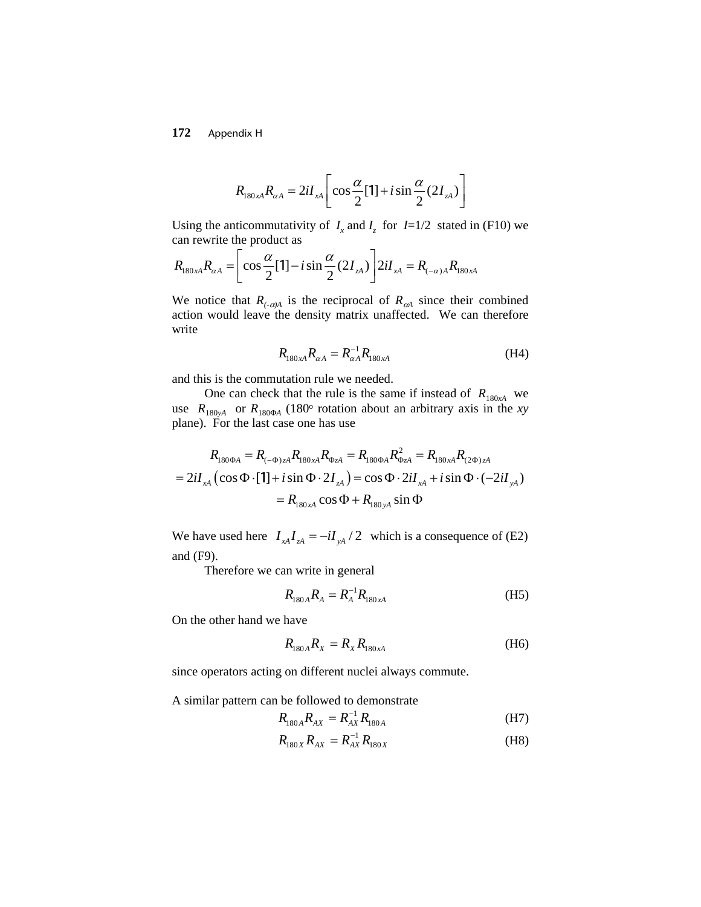**172** Appendix H

$$
R_{180xA}R_{\alpha A} = 2iI_{xA}\left[\cos\frac{\alpha}{2}[\mathbf{1}] + i\sin\frac{\alpha}{2}(2I_{zA})\right]
$$

Using the anticommutativity of  $I_x$  and  $I_z$  for  $I=1/2$  stated in (F10) we can rewrite the product as

$$
R_{180xA}R_{\alpha A} = \left[\cos{\frac{\alpha}{2}}[1] - i\sin{\frac{\alpha}{2}}(2I_{zA})\right] 2iI_{xA} = R_{(-\alpha)A}R_{180xA}
$$

We notice that  $R_{(-\alpha)A}$  is the reciprocal of  $R_{\alpha A}$  since their combined action would leave the density matrix unaffected. We can therefore write

$$
R_{180 \, \text{A}} R_{\alpha A} = R_{\alpha A}^{-1} R_{180 \, \text{A}} \tag{H4}
$$

and this is the commutation rule we needed.

One can check that the rule is the same if instead of  $R_{180xA}$  we use  $R_{180yA}$  or  $R_{180\Phi A}$  (180° rotation about an arbitrary axis in the *xy* plane). For the last case one has use

$$
R_{180\Phi A} = R_{(-\Phi)zA} R_{180xA} R_{\Phi zA} = R_{180\Phi A} R_{\Phi zA}^2 = R_{180xA} R_{(2\Phi)zA}
$$
  
=  $2iI_{xA} (\cos \Phi \cdot [1] + i \sin \Phi \cdot 2I_{zA}) = \cos \Phi \cdot 2iI_{xA} + i \sin \Phi \cdot (-2iI_{yA})$   
=  $R_{180xA} \cos \Phi + R_{180yA} \sin \Phi$ 

We have used here  $I_{xA}I_{zA} = -iI_{yA}/2$  which is a consequence of (E2) and (F9).

Therefore we can write in general

$$
R_{180A}R_A = R_A^{-1}R_{180xA}
$$
 (H5)

On the other hand we have

$$
R_{180A}R_{X} = R_{X}R_{180xA}
$$
 (H6)

since operators acting on different nuclei always commute.

A similar pattern can be followed to demonstrate

$$
R_{180A}R_{AX} = R_{AX}^{-1}R_{180A}
$$
 (H7)

$$
R_{180X}R_{AX} = R_{AX}^{-1}R_{180X}
$$
 (H8)